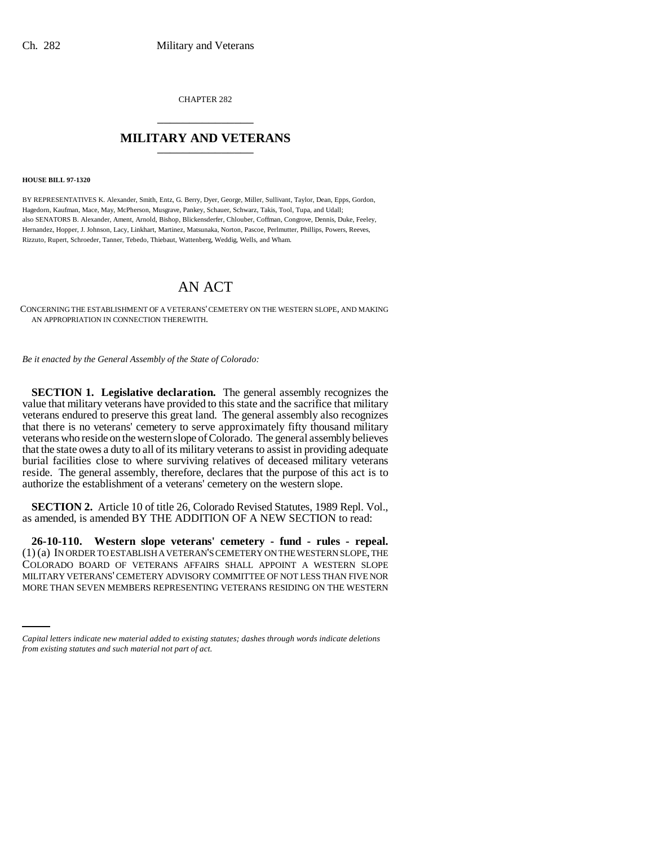CHAPTER 282 \_\_\_\_\_\_\_\_\_\_\_\_\_\_\_

## **MILITARY AND VETERANS** \_\_\_\_\_\_\_\_\_\_\_\_\_\_\_

**HOUSE BILL 97-1320**

BY REPRESENTATIVES K. Alexander, Smith, Entz, G. Berry, Dyer, George, Miller, Sullivant, Taylor, Dean, Epps, Gordon, Hagedorn, Kaufman, Mace, May, McPherson, Musgrave, Pankey, Schauer, Schwarz, Takis, Tool, Tupa, and Udall; also SENATORS B. Alexander, Ament, Arnold, Bishop, Blickensderfer, Chlouber, Coffman, Congrove, Dennis, Duke, Feeley, Hernandez, Hopper, J. Johnson, Lacy, Linkhart, Martinez, Matsunaka, Norton, Pascoe, Perlmutter, Phillips, Powers, Reeves, Rizzuto, Rupert, Schroeder, Tanner, Tebedo, Thiebaut, Wattenberg, Weddig, Wells, and Wham.

## AN ACT

CONCERNING THE ESTABLISHMENT OF A VETERANS' CEMETERY ON THE WESTERN SLOPE, AND MAKING AN APPROPRIATION IN CONNECTION THEREWITH.

*Be it enacted by the General Assembly of the State of Colorado:*

**SECTION 1. Legislative declaration.** The general assembly recognizes the value that military veterans have provided to this state and the sacrifice that military veterans endured to preserve this great land. The general assembly also recognizes that there is no veterans' cemetery to serve approximately fifty thousand military veterans who reside on the western slope of Colorado. The general assembly believes that the state owes a duty to all of its military veterans to assist in providing adequate burial facilities close to where surviving relatives of deceased military veterans reside. The general assembly, therefore, declares that the purpose of this act is to authorize the establishment of a veterans' cemetery on the western slope.

**SECTION 2.** Article 10 of title 26, Colorado Revised Statutes, 1989 Repl. Vol., as amended, is amended BY THE ADDITION OF A NEW SECTION to read:

MILITARY VETERANS' CEMETERY ADVISORY COMMITTEE OF NOT LESS THAN FIVE NOR **26-10-110. Western slope veterans' cemetery - fund - rules - repeal.** (1) (a) IN ORDER TO ESTABLISH A VETERAN'S CEMETERY ON THE WESTERN SLOPE, THE COLORADO BOARD OF VETERANS AFFAIRS SHALL APPOINT A WESTERN SLOPE MORE THAN SEVEN MEMBERS REPRESENTING VETERANS RESIDING ON THE WESTERN

*Capital letters indicate new material added to existing statutes; dashes through words indicate deletions from existing statutes and such material not part of act.*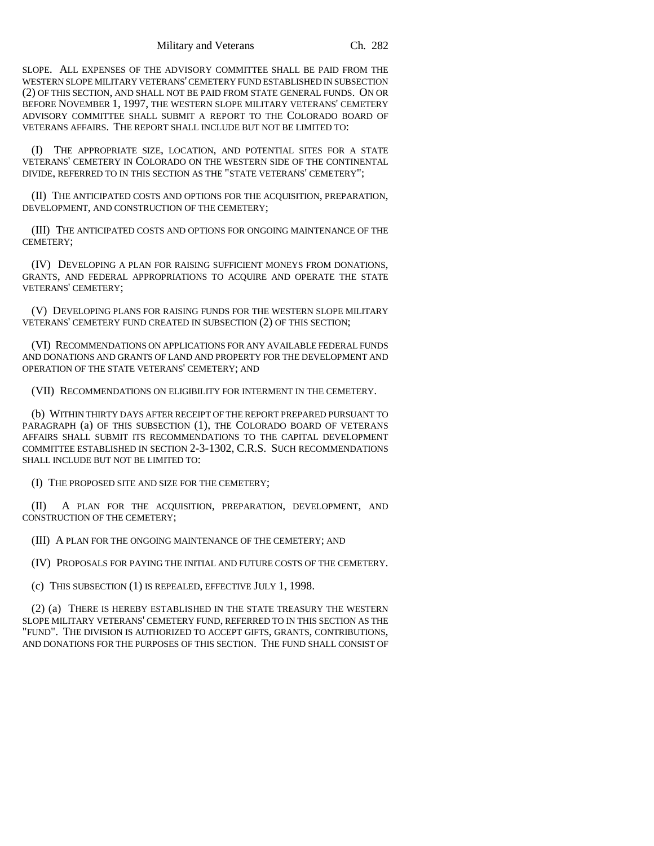SLOPE. ALL EXPENSES OF THE ADVISORY COMMITTEE SHALL BE PAID FROM THE WESTERN SLOPE MILITARY VETERANS' CEMETERY FUND ESTABLISHED IN SUBSECTION (2) OF THIS SECTION, AND SHALL NOT BE PAID FROM STATE GENERAL FUNDS. ON OR BEFORE NOVEMBER 1, 1997, THE WESTERN SLOPE MILITARY VETERANS' CEMETERY ADVISORY COMMITTEE SHALL SUBMIT A REPORT TO THE COLORADO BOARD OF VETERANS AFFAIRS. THE REPORT SHALL INCLUDE BUT NOT BE LIMITED TO:

(I) THE APPROPRIATE SIZE, LOCATION, AND POTENTIAL SITES FOR A STATE VETERANS' CEMETERY IN COLORADO ON THE WESTERN SIDE OF THE CONTINENTAL DIVIDE, REFERRED TO IN THIS SECTION AS THE "STATE VETERANS' CEMETERY";

(II) THE ANTICIPATED COSTS AND OPTIONS FOR THE ACQUISITION, PREPARATION, DEVELOPMENT, AND CONSTRUCTION OF THE CEMETERY;

(III) THE ANTICIPATED COSTS AND OPTIONS FOR ONGOING MAINTENANCE OF THE CEMETERY;

(IV) DEVELOPING A PLAN FOR RAISING SUFFICIENT MONEYS FROM DONATIONS, GRANTS, AND FEDERAL APPROPRIATIONS TO ACQUIRE AND OPERATE THE STATE VETERANS' CEMETERY;

(V) DEVELOPING PLANS FOR RAISING FUNDS FOR THE WESTERN SLOPE MILITARY VETERANS' CEMETERY FUND CREATED IN SUBSECTION (2) OF THIS SECTION;

(VI) RECOMMENDATIONS ON APPLICATIONS FOR ANY AVAILABLE FEDERAL FUNDS AND DONATIONS AND GRANTS OF LAND AND PROPERTY FOR THE DEVELOPMENT AND OPERATION OF THE STATE VETERANS' CEMETERY; AND

(VII) RECOMMENDATIONS ON ELIGIBILITY FOR INTERMENT IN THE CEMETERY.

(b) WITHIN THIRTY DAYS AFTER RECEIPT OF THE REPORT PREPARED PURSUANT TO PARAGRAPH (a) OF THIS SUBSECTION (1), THE COLORADO BOARD OF VETERANS AFFAIRS SHALL SUBMIT ITS RECOMMENDATIONS TO THE CAPITAL DEVELOPMENT COMMITTEE ESTABLISHED IN SECTION 2-3-1302, C.R.S. SUCH RECOMMENDATIONS SHALL INCLUDE BUT NOT BE LIMITED TO:

(I) THE PROPOSED SITE AND SIZE FOR THE CEMETERY;

(II) A PLAN FOR THE ACQUISITION, PREPARATION, DEVELOPMENT, AND CONSTRUCTION OF THE CEMETERY;

(III) A PLAN FOR THE ONGOING MAINTENANCE OF THE CEMETERY; AND

(IV) PROPOSALS FOR PAYING THE INITIAL AND FUTURE COSTS OF THE CEMETERY.

(c) THIS SUBSECTION (1) IS REPEALED, EFFECTIVE JULY 1, 1998.

(2) (a) THERE IS HEREBY ESTABLISHED IN THE STATE TREASURY THE WESTERN SLOPE MILITARY VETERANS' CEMETERY FUND, REFERRED TO IN THIS SECTION AS THE "FUND". THE DIVISION IS AUTHORIZED TO ACCEPT GIFTS, GRANTS, CONTRIBUTIONS, AND DONATIONS FOR THE PURPOSES OF THIS SECTION. THE FUND SHALL CONSIST OF